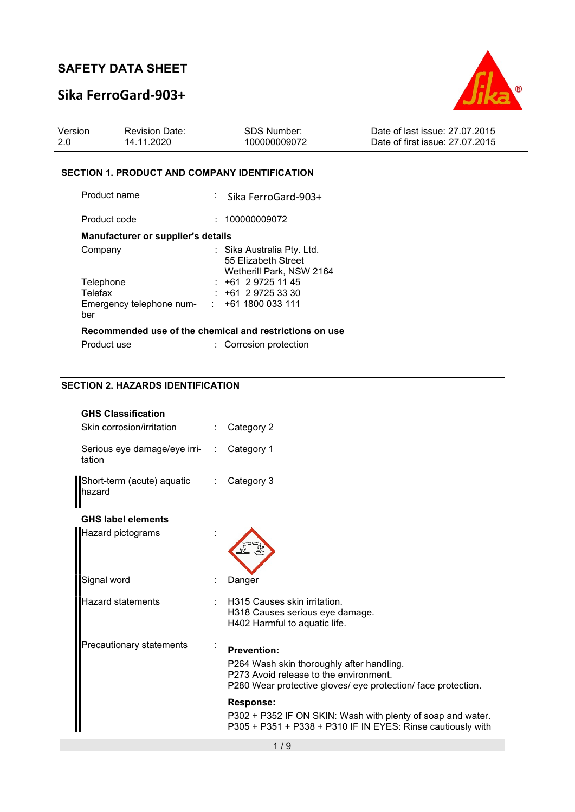# Sika FerroGard-903+



| Version | <b>Revision Date:</b> | <b>SDS Number:</b> | Date of last issue: 27,07,2015  |
|---------|-----------------------|--------------------|---------------------------------|
|         | 14.11.2020            | 100000009072       | Date of first issue: 27.07.2015 |

### SECTION 1. PRODUCT AND COMPANY IDENTIFICATION

| Product name                                             | $:$ Sika FerroGard-903+                                                       |
|----------------------------------------------------------|-------------------------------------------------------------------------------|
| Product code                                             | : 100000009072                                                                |
| Manufacturer or supplier's details                       |                                                                               |
| Company                                                  | : Sika Australia Pty. Ltd.<br>55 Elizabeth Street<br>Wetherill Park, NSW 2164 |
| Telephone                                                | $: +61297251145$                                                              |
| Telefax                                                  | $: +61297253330$                                                              |
| Emergency telephone num- $\cdot$ +61 1800 033 111<br>ber |                                                                               |
|                                                          | Recommended use of the chemical and restrictions on use                       |
| Product use                                              | : Corrosion protection                                                        |

### SECTION 2. HAZARDS IDENTIFICATION

| <b>GHS Classification</b>                |                                                                                                                                                                            |
|------------------------------------------|----------------------------------------------------------------------------------------------------------------------------------------------------------------------------|
| Skin corrosion/irritation                | Category 2                                                                                                                                                                 |
| Serious eye damage/eye irri- :<br>tation | Category 1                                                                                                                                                                 |
| Short-term (acute) aquatic<br>lhazard    | Category 3                                                                                                                                                                 |
| <b>GHS label elements</b>                |                                                                                                                                                                            |
| Hazard pictograms                        |                                                                                                                                                                            |
| Signal word                              | Danger                                                                                                                                                                     |
| <b>Hazard statements</b>                 | H315 Causes skin irritation.<br>H318 Causes serious eye damage.<br>H402 Harmful to aquatic life.                                                                           |
| Precautionary statements                 | <b>Prevention:</b><br>P264 Wash skin thoroughly after handling.<br>P273 Avoid release to the environment.<br>P280 Wear protective gloves/ eye protection/ face protection. |
|                                          | Response:<br>P302 + P352 IF ON SKIN: Wash with plenty of soap and water.<br>P305 + P351 + P338 + P310 IF IN EYES: Rinse cautiously with                                    |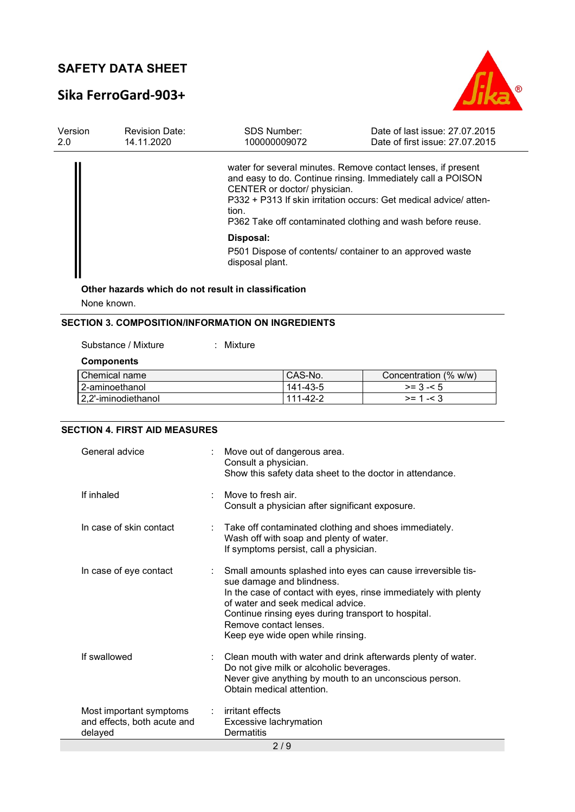# Sika FerroGard-903+



| Version<br>2.0 | <b>Revision Date:</b><br>14.11.2020 | <b>SDS Number:</b><br>100000009072                                                                                                                                                                                                 | Date of last issue: 27,07,2015<br>Date of first issue: 27.07.2015 |
|----------------|-------------------------------------|------------------------------------------------------------------------------------------------------------------------------------------------------------------------------------------------------------------------------------|-------------------------------------------------------------------|
|                |                                     | water for several minutes. Remove contact lenses, if present<br>and easy to do. Continue rinsing. Immediately call a POISON<br>CENTER or doctor/ physician.<br>tion.<br>P362 Take off contaminated clothing and wash before reuse. | P332 + P313 If skin irritation occurs: Get medical advice/atten-  |
|                |                                     | Disposal:<br>P501 Dispose of contents/ container to an approved waste<br>disposal plant.                                                                                                                                           |                                                                   |

# Other hazards which do not result in classification

None known.

## SECTION 3. COMPOSITION/INFORMATION ON INGREDIENTS

| Substance / Mixture | : Mixture |          |                       |
|---------------------|-----------|----------|-----------------------|
| <b>Components</b>   |           |          |                       |
| Chemical name       |           | CAS-No.  | Concentration (% w/w) |
| 2-aminoethanol      |           | 141-43-5 | $>= 3 - 5$            |
| 2.2'-iminodiethanol |           | 111-42-2 | $>= 1 - 3$            |

### SECTION 4. FIRST AID MEASURES

| General advice                                                    |  | : Move out of dangerous area.<br>Consult a physician.<br>Show this safety data sheet to the doctor in attendance.                                                                                                                                                                                                       |  |
|-------------------------------------------------------------------|--|-------------------------------------------------------------------------------------------------------------------------------------------------------------------------------------------------------------------------------------------------------------------------------------------------------------------------|--|
| If inhaled                                                        |  | Move to fresh air.<br>Consult a physician after significant exposure.                                                                                                                                                                                                                                                   |  |
| In case of skin contact                                           |  | : Take off contaminated clothing and shoes immediately.<br>Wash off with soap and plenty of water.<br>If symptoms persist, call a physician.                                                                                                                                                                            |  |
| In case of eye contact                                            |  | Small amounts splashed into eyes can cause irreversible tis-<br>sue damage and blindness.<br>In the case of contact with eyes, rinse immediately with plenty<br>of water and seek medical advice.<br>Continue rinsing eyes during transport to hospital.<br>Remove contact lenses.<br>Keep eye wide open while rinsing. |  |
| If swallowed                                                      |  | Clean mouth with water and drink afterwards plenty of water.<br>Do not give milk or alcoholic beverages.<br>Never give anything by mouth to an unconscious person.<br>Obtain medical attention.                                                                                                                         |  |
| Most important symptoms<br>and effects, both acute and<br>delayed |  | $:$ irritant effects<br>Excessive lachrymation<br>Dermatitis                                                                                                                                                                                                                                                            |  |
| 2/9                                                               |  |                                                                                                                                                                                                                                                                                                                         |  |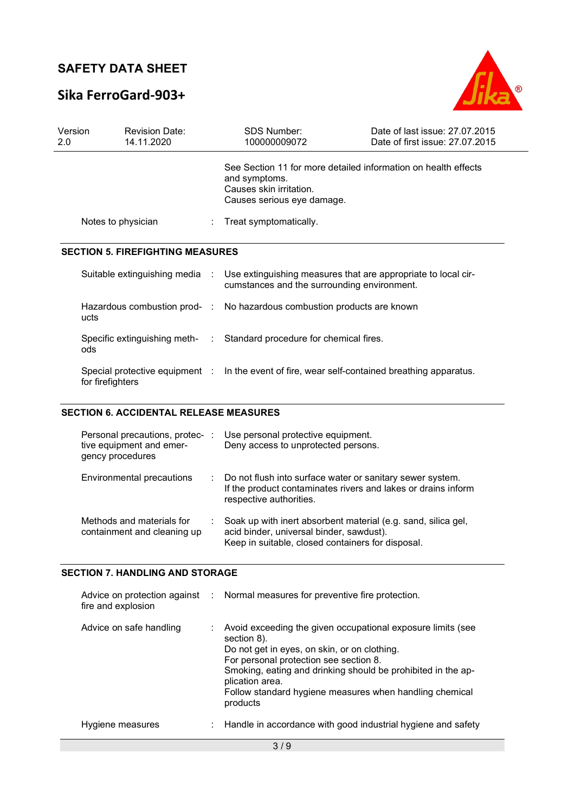# Sika FerroGard-903+



| Version<br>2.0 | <b>Revision Date:</b><br>14.11.2020     | <b>SDS Number:</b><br>100000009072                                                                                                       | Date of last issue: 27.07.2015<br>Date of first issue: 27.07.2015 |
|----------------|-----------------------------------------|------------------------------------------------------------------------------------------------------------------------------------------|-------------------------------------------------------------------|
|                |                                         | See Section 11 for more detailed information on health effects<br>and symptoms.<br>Causes skin irritation.<br>Causes serious eye damage. |                                                                   |
|                | Notes to physician                      | Treat symptomatically.                                                                                                                   |                                                                   |
|                | <b>SECTION 5. FIREFIGHTING MEASURES</b> |                                                                                                                                          |                                                                   |
|                | Suitable extinguishing media :          | Use extinguishing measures that are appropriate to local cir-<br>cumstances and the surrounding environment.                             |                                                                   |
|                | ucts                                    | Hazardous combustion prod- : No hazardous combustion products are known                                                                  |                                                                   |
|                | ods                                     | Specific extinguishing meth- : Standard procedure for chemical fires.                                                                    |                                                                   |
|                | for firefighters                        | Special protective equipment : In the event of fire, wear self-contained breathing apparatus.                                            |                                                                   |

### SECTION 6. ACCIDENTAL RELEASE MEASURES

| Personal precautions, protec-<br>tive equipment and emer-<br>gency procedures | ÷ | Use personal protective equipment.<br>Deny access to unprotected persons.                                                                                      |
|-------------------------------------------------------------------------------|---|----------------------------------------------------------------------------------------------------------------------------------------------------------------|
| Environmental precautions                                                     |   | : Do not flush into surface water or sanitary sewer system.<br>If the product contaminates rivers and lakes or drains inform<br>respective authorities.        |
| Methods and materials for<br>containment and cleaning up                      |   | Soak up with inert absorbent material (e.g. sand, silica gel,<br>acid binder, universal binder, sawdust).<br>Keep in suitable, closed containers for disposal. |

#### SECTION 7. HANDLING AND STORAGE

| fire and explosion      | Advice on protection against : Normal measures for preventive fire protection.                                                                                                                                                                                                                                                 |
|-------------------------|--------------------------------------------------------------------------------------------------------------------------------------------------------------------------------------------------------------------------------------------------------------------------------------------------------------------------------|
| Advice on safe handling | Avoid exceeding the given occupational exposure limits (see<br>section 8).<br>Do not get in eyes, on skin, or on clothing.<br>For personal protection see section 8.<br>Smoking, eating and drinking should be prohibited in the ap-<br>plication area.<br>Follow standard hygiene measures when handling chemical<br>products |
| Hygiene measures        | : Handle in accordance with good industrial hygiene and safety                                                                                                                                                                                                                                                                 |
|                         | 3/9                                                                                                                                                                                                                                                                                                                            |
|                         |                                                                                                                                                                                                                                                                                                                                |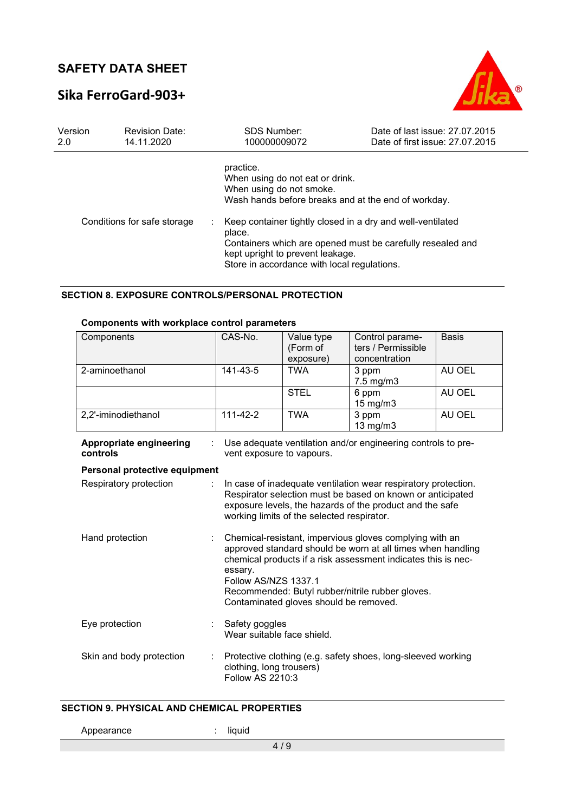# Sika FerroGard-903+



| Version | <b>Revision Date:</b>       | <b>SDS Number:</b>                                                                                                                                                    | Date of last issue: 27.07.2015                                                                                                                                                  |
|---------|-----------------------------|-----------------------------------------------------------------------------------------------------------------------------------------------------------------------|---------------------------------------------------------------------------------------------------------------------------------------------------------------------------------|
| 2.0     | 14.11.2020                  | 100000009072                                                                                                                                                          | Date of first issue: 27.07.2015                                                                                                                                                 |
|         | Conditions for safe storage | practice.<br>When using do not eat or drink.<br>When using do not smoke.<br>place.<br>kept upright to prevent leakage.<br>Store in accordance with local regulations. | Wash hands before breaks and at the end of workday.<br>Keep container tightly closed in a dry and well-ventilated<br>Containers which are opened must be carefully resealed and |

#### SECTION 8. EXPOSURE CONTROLS/PERSONAL PROTECTION

## Components with workplace control parameters

| Components          | CAS-No.           | Value type<br>(Form of<br>exposure) | Control parame-<br>ters / Permissible<br>concentration | <b>Basis</b> |
|---------------------|-------------------|-------------------------------------|--------------------------------------------------------|--------------|
| 2-aminoethanol      | 141-43-5          | <b>TWA</b>                          | 3 ppm<br>$7.5 \text{ mg/m}$ 3                          | AU OEL       |
|                     |                   | <b>STEL</b>                         | 6 ppm<br>$15 \text{ mg/m}$                             | AU OEL       |
| 2,2'-iminodiethanol | $111 - 42 - 2$    | <b>TWA</b>                          | 3 ppm<br>$13$ mg/m $3$                                 | AU OEL       |
|                     | $\cdots$ $\cdots$ |                                     |                                                        |              |

| Appropriate engineering<br>controls |                | Use adequate ventilation and/or engineering controls to pre-<br>vent exposure to vapours.                                                                                                                                                                                                                                |
|-------------------------------------|----------------|--------------------------------------------------------------------------------------------------------------------------------------------------------------------------------------------------------------------------------------------------------------------------------------------------------------------------|
| Personal protective equipment       |                |                                                                                                                                                                                                                                                                                                                          |
| Respiratory protection              | $\mathbb{R}^n$ | In case of inadequate ventilation wear respiratory protection.<br>Respirator selection must be based on known or anticipated<br>exposure levels, the hazards of the product and the safe<br>working limits of the selected respirator.                                                                                   |
| Hand protection                     |                | Chemical-resistant, impervious gloves complying with an<br>approved standard should be worn at all times when handling<br>chemical products if a risk assessment indicates this is nec-<br>essary.<br>Follow AS/NZS 1337.1<br>Recommended: Butyl rubber/nitrile rubber gloves.<br>Contaminated gloves should be removed. |
| Eye protection                      |                | Safety goggles<br>Wear suitable face shield.                                                                                                                                                                                                                                                                             |
| Skin and body protection            |                | Protective clothing (e.g. safety shoes, long-sleeved working<br>clothing, long trousers)<br>Follow AS 2210:3                                                                                                                                                                                                             |

#### SECTION 9. PHYSICAL AND CHEMICAL PROPERTIES

Appearance : liquid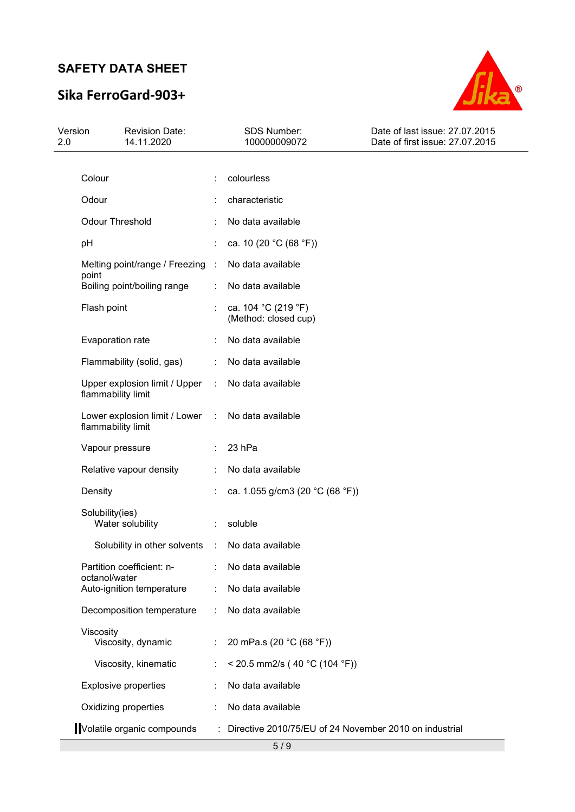# Sika FerroGard-903+



| Version<br>2.0  | <b>Revision Date:</b><br>14.11.2020                 |                      | SDS Number:<br>100000009072                            | Date of last issue: 27.07.2015<br>Date of first issue: 27.07.2015 |
|-----------------|-----------------------------------------------------|----------------------|--------------------------------------------------------|-------------------------------------------------------------------|
| Colour          |                                                     |                      |                                                        |                                                                   |
|                 |                                                     |                      | colourless                                             |                                                                   |
| Odour           |                                                     |                      | characteristic                                         |                                                                   |
|                 | <b>Odour Threshold</b>                              |                      | No data available                                      |                                                                   |
| pH              |                                                     |                      | ca. 10 (20 °C (68 °F))                                 |                                                                   |
| point           | Melting point/range / Freezing :                    |                      | No data available                                      |                                                                   |
|                 | Boiling point/boiling range                         | ÷                    | No data available                                      |                                                                   |
| Flash point     |                                                     |                      | ca. 104 °C (219 °F)<br>(Method: closed cup)            |                                                                   |
|                 | Evaporation rate                                    |                      | No data available                                      |                                                                   |
|                 | Flammability (solid, gas)                           |                      | No data available                                      |                                                                   |
|                 | Upper explosion limit / Upper<br>flammability limit | $\ddot{\phantom{a}}$ | No data available                                      |                                                                   |
|                 | Lower explosion limit / Lower<br>flammability limit | ÷                    | No data available                                      |                                                                   |
|                 | Vapour pressure                                     |                      | 23 hPa                                                 |                                                                   |
|                 | Relative vapour density                             |                      | No data available                                      |                                                                   |
| Density         |                                                     |                      | ca. 1.055 g/cm3 (20 °C (68 °F))                        |                                                                   |
| Solubility(ies) | Water solubility                                    |                      | soluble                                                |                                                                   |
|                 | Solubility in other solvents                        | $\ddot{\phantom{a}}$ | No data available                                      |                                                                   |
|                 | Partition coefficient: n-                           |                      | No data available                                      |                                                                   |
| octanol/water   | Auto-ignition temperature                           |                      | No data available                                      |                                                                   |
|                 | Decomposition temperature                           |                      | No data available                                      |                                                                   |
| Viscosity       | Viscosity, dynamic                                  |                      | 20 mPa.s (20 °C (68 °F))                               |                                                                   |
|                 | Viscosity, kinematic                                |                      | < 20.5 mm2/s (40 °C (104 °F))                          |                                                                   |
|                 | <b>Explosive properties</b>                         |                      | No data available                                      |                                                                   |
|                 | Oxidizing properties                                |                      | No data available                                      |                                                                   |
|                 | Volatile organic compounds                          |                      | Directive 2010/75/EU of 24 November 2010 on industrial |                                                                   |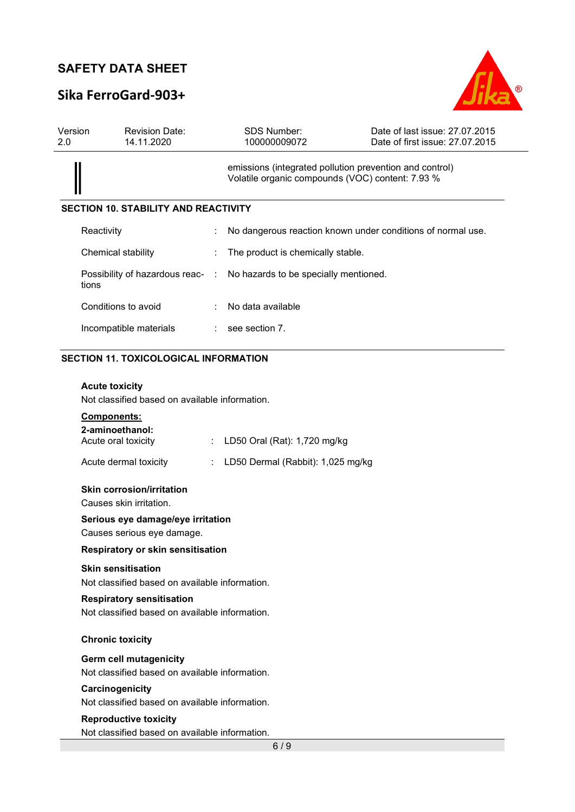# Sika FerroGard-903+



| Version<br>2.0 | <b>Revision Date:</b><br>14.11.2020         |  | <b>SDS Number:</b><br>100000009072                                                                          | Date of last issue: 27,07,2015<br>Date of first issue: 27.07.2015 |  |  |
|----------------|---------------------------------------------|--|-------------------------------------------------------------------------------------------------------------|-------------------------------------------------------------------|--|--|
|                |                                             |  | emissions (integrated pollution prevention and control)<br>Volatile organic compounds (VOC) content: 7.93 % |                                                                   |  |  |
|                | <b>SECTION 10. STABILITY AND REACTIVITY</b> |  |                                                                                                             |                                                                   |  |  |
|                | Reactivity                                  |  |                                                                                                             | No dangerous reaction known under conditions of normal use.       |  |  |
|                | Chemical stability                          |  | The product is chemically stable.                                                                           |                                                                   |  |  |
|                | tions                                       |  | Possibility of hazardous reac- : No hazards to be specially mentioned.                                      |                                                                   |  |  |
|                | Conditions to avoid                         |  | No data available                                                                                           |                                                                   |  |  |
|                | Incompatible materials                      |  | see section 7.                                                                                              |                                                                   |  |  |

## SECTION 11. TOXICOLOGICAL INFORMATION

#### Acute toxicity

Not classified based on available information.

## Components:

| 2-aminoethanol:<br>Acute oral toxicity                                            |  | LD50 Oral (Rat): 1,720 mg/kg      |  |  |  |  |
|-----------------------------------------------------------------------------------|--|-----------------------------------|--|--|--|--|
| Acute dermal toxicity                                                             |  | LD50 Dermal (Rabbit): 1,025 mg/kg |  |  |  |  |
| <b>Skin corrosion/irritation</b><br>Causes skin irritation.                       |  |                                   |  |  |  |  |
| Serious eye damage/eye irritation<br>Causes serious eye damage.                   |  |                                   |  |  |  |  |
| <b>Respiratory or skin sensitisation</b>                                          |  |                                   |  |  |  |  |
| <b>Skin sensitisation</b><br>Not classified based on available information.       |  |                                   |  |  |  |  |
| <b>Respiratory sensitisation</b><br>Not classified based on available information |  |                                   |  |  |  |  |
| <b>Chronic toxicity</b>                                                           |  |                                   |  |  |  |  |
| Germ cell mutagenicity<br>Not classified based on available information.          |  |                                   |  |  |  |  |
| Carcinogenicity                                                                   |  |                                   |  |  |  |  |

Not classified based on available information.

#### Reproductive toxicity

Not classified based on available information.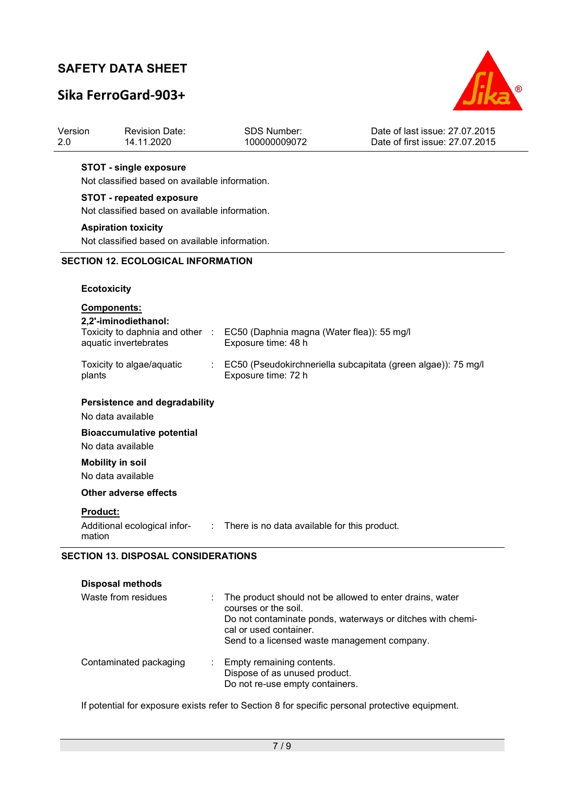# Sika FerroGard-903+

Revision Date:

Version



Date of last issue: 27.07.2015

| 2.0    | 14.11.2020                                                                        |            | 100000009072                                                      | Date of first issue: 27.07.2015                               |
|--------|-----------------------------------------------------------------------------------|------------|-------------------------------------------------------------------|---------------------------------------------------------------|
|        | <b>STOT - single exposure</b><br>Not classified based on available information.   |            |                                                                   |                                                               |
|        | <b>STOT - repeated exposure</b><br>Not classified based on available information. |            |                                                                   |                                                               |
|        | <b>Aspiration toxicity</b>                                                        |            |                                                                   |                                                               |
|        | Not classified based on available information.                                    |            |                                                                   |                                                               |
|        | <b>SECTION 12. ECOLOGICAL INFORMATION</b>                                         |            |                                                                   |                                                               |
|        |                                                                                   |            |                                                                   |                                                               |
|        | <b>Ecotoxicity</b>                                                                |            |                                                                   |                                                               |
|        | Components:                                                                       |            |                                                                   |                                                               |
|        | 2,2'-iminodiethanol:                                                              |            |                                                                   |                                                               |
|        | Toxicity to daphnia and other :<br>aquatic invertebrates                          |            | EC50 (Daphnia magna (Water flea)): 55 mg/l<br>Exposure time: 48 h |                                                               |
|        |                                                                                   |            |                                                                   |                                                               |
| plants | Toxicity to algae/aquatic                                                         |            | Exposure time: 72 h                                               | EC50 (Pseudokirchneriella subcapitata (green algae)): 75 mg/l |
|        |                                                                                   |            |                                                                   |                                                               |
|        | <b>Persistence and degradability</b>                                              |            |                                                                   |                                                               |
|        | No data available                                                                 |            |                                                                   |                                                               |
|        | <b>Bioaccumulative potential</b>                                                  |            |                                                                   |                                                               |
|        | No data available                                                                 |            |                                                                   |                                                               |
|        | <b>Mobility in soil</b>                                                           |            |                                                                   |                                                               |
|        | No data available                                                                 |            |                                                                   |                                                               |
|        | Other adverse effects                                                             |            |                                                                   |                                                               |
|        | Product:                                                                          |            |                                                                   |                                                               |
|        | Additional ecological infor-<br>mation                                            | $\sim 100$ | There is no data available for this product.                      |                                                               |

SDS Number:

| Waste from residues          | : The product should not be allowed to enter drains, water<br>courses or the soil.<br>Do not contaminate ponds, waterways or ditches with chemi-<br>cal or used container.<br>Send to a licensed waste management company. |
|------------------------------|----------------------------------------------------------------------------------------------------------------------------------------------------------------------------------------------------------------------------|
| Contaminated packaging<br>÷. | Empty remaining contents.<br>Dispose of as unused product.<br>Do not re-use empty containers.                                                                                                                              |

If potential for exposure exists refer to Section 8 for specific personal protective equipment.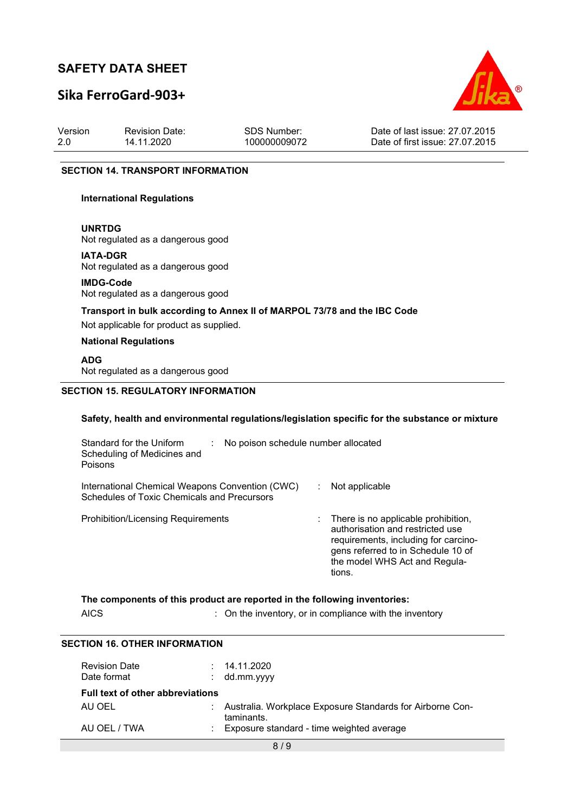## Sika FerroGard-903+



Version 2.0 Revision Date: 14.11.2020

SDS Number: 100000009072

Date of last issue: 27.07.2015 Date of first issue: 27.07.2015

#### SECTION 14. TRANSPORT INFORMATION

#### International Regulations

#### UNRTDG

Not regulated as a dangerous good

#### IATA-DGR

Not regulated as a dangerous good

#### IMDG-Code Not regulated as a dangerous good

## Transport in bulk according to Annex II of MARPOL 73/78 and the IBC Code

Not applicable for product as supplied.

#### National Regulations

#### ADG

Not regulated as a dangerous good

#### SECTION 15. REGULATORY INFORMATION

#### Safety, health and environmental regulations/legislation specific for the substance or mixture

| Standard for the Uniform<br>Scheduling of Medicines and<br>Poisons                                    | No poison schedule number allocated |                                                                                                                                                                                                    |
|-------------------------------------------------------------------------------------------------------|-------------------------------------|----------------------------------------------------------------------------------------------------------------------------------------------------------------------------------------------------|
| International Chemical Weapons Convention (CWC)<br><b>Schedules of Toxic Chemicals and Precursors</b> |                                     | Not applicable                                                                                                                                                                                     |
| <b>Prohibition/Licensing Requirements</b>                                                             |                                     | : There is no applicable prohibition,<br>authorisation and restricted use<br>requirements, including for carcino-<br>gens referred to in Schedule 10 of<br>the model WHS Act and Regula-<br>tions. |

|             | The components of this product are reported in the following inventories: |
|-------------|---------------------------------------------------------------------------|
| <b>AICS</b> | : On the inventory, or in compliance with the inventory                   |

#### SECTION 16. OTHER INFORMATION

| <b>Revision Date</b><br>Date format     | : 14.11.2020<br>$:$ dd.mm.yyyy                                            |
|-----------------------------------------|---------------------------------------------------------------------------|
| <b>Full text of other abbreviations</b> |                                                                           |
| AU OEL                                  | : Australia. Workplace Exposure Standards for Airborne Con-<br>taminants. |
| AU OEL / TWA                            | : Exposure standard - time weighted average                               |